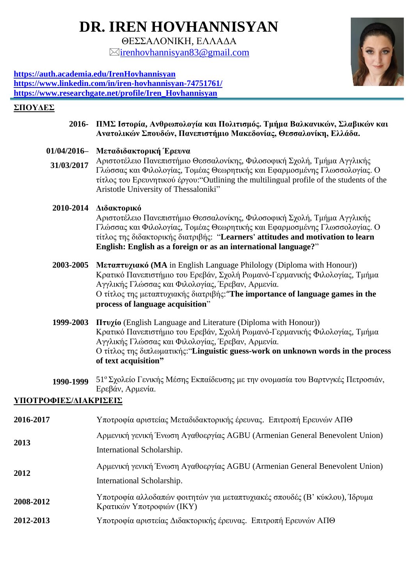# **DR. IREN HOVHANNISYAN**

ΘΕΣΣΑΛΟΝΙΚΗ, ΕΛΛΑΔΑ  $\boxtimes$ irenhovhannisvan $83@$ gmail.com



**<https://auth.academia.edu/IrenHovhannisyan> <https://www.linkedin.com/in/iren-hovhannisyan-74751761/> [https://www.researchgate.net/profile/Iren\\_Hovhannisyan](https://www.researchgate.net/profile/Iren_Hovhannisyan)**

#### **ΣΠΟΥΔΕΣ**

- **2016- ΠΜΣ Ιστορία, Ανθρωπολογία και Πολιτισμός. Τμήμα Βαλκανικών, Σλαβικών και Ανατολικών Σπουδών, Πανεπιστήμιο Μακεδονίας, Θεσσαλονίκη, Ελλάδα.**
- **01/04/2016– Μεταδιδακτορική Έρευνα**
- **31/03/2017** Αριστοτέλειο Πανεπιστήμιο Θεσσαλονίκης, Φιλοσοφική Σχολή, Τμήμα Αγγλικής Γλώσσας και Φιλολογίας, Τομέας Θεωρητικής και Εφαρμοσμένης Γλωσσολογίας. Ο τίτλος του Ερευνητικού έργου:"Outlining the multilingual profile of the students of the Aristotle University of Thessaloniki"

#### **2010-2014 Διδακτορικό**

Αριστοτέλειο Πανεπιστήμιο Θεσσαλονίκης, Φιλοσοφική Σχολή, Τμήμα Αγγλικής Γλώσσας και Φιλολογίας, Τομέας Θεωρητικής και Εφαρμοσμένης Γλωσσολογίας. Ο τίτλος της διδακτορικής διατριβής: "**Learners' attitudes and motivation to learn English: English as a foreign or as an international language?**"

- **2003-2005 Μεταπτυχιακό (MA** in English Language Philology (Diploma with Honour)) Κρατικό Πανεπιστήμιο του Ερεβάν, Σχολή Ρωμανό-Γερμανικής Φιλολογίας, Τμήμα Αγγλικής Γλώσσας και Φιλολογίας, Έρεβαν, Αρμενία. Ο τίτλος της μεταπτυχιακής διατριβής:"**The importance of language games in the process of language acquisition**"
- **1999-2003 Πτυχίο** (English Language and Literature (Diploma with Honour)) Κρατικό Πανεπιστήμιο του Ερεβάν, Σχολή Ρωμανό-Γερμανικής Φιλολογίας, Τμήμα Αγγλικής Γλώσσας και Φιλολογίας, Έρεβαν, Αρμενία. Ο τίτλος της διπλωματικής:"**Linguistic guess-work on unknown words in the process of text acquisition"**
- **1990-1999** 51<sup>ο</sup> Σχολείο Γενικής Μέσης Εκπαίδευσης με την ονομασία του Βαρτνγκές Πετροσιάν, Ερεβάν, Αρμενία.

### **ΥΠΟΤΡΟΦΙΕΣ/ΔΙΑΚΡΙΣΕΙΣ**

| 2016-2017 | Υποτροφία αριστείας Μεταδιδακτορικής έρευνας. Επιτροπή Ερευνών ΑΠΘ                                      |
|-----------|---------------------------------------------------------------------------------------------------------|
| 2013      | Αρμενική γενική Ένωση Αγαθοεργίας AGBU (Armenian General Benevolent Union)                              |
|           | International Scholarship.                                                                              |
| 2012      | Αρμενική γενική Ένωση Αγαθοεργίας AGBU (Armenian General Benevolent Union)                              |
|           | International Scholarship.                                                                              |
| 2008-2012 | Υποτροφία αλλοδαπών φοιτητών για μεταπτυχιακές σπουδές (Β' κύκλου), Ίδρυμα<br>Κρατικών Υποτροφιών (ΙΚΥ) |
| 2012-2013 | Υποτροφία αριστείας Διδακτορικής έρευνας. Επιτροπή Ερευνών ΑΠΘ                                          |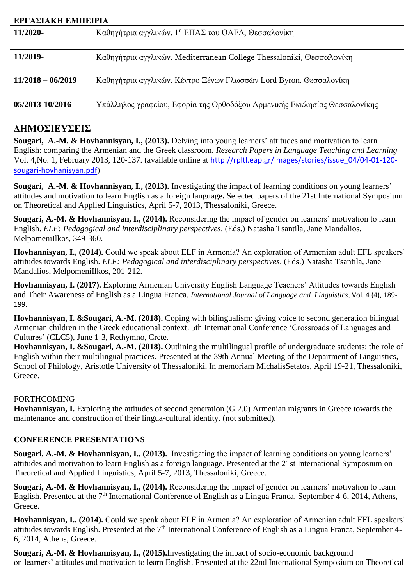| ΕΡΓΑΣΙΑΚΗ ΕΜΠΕΙΡΙΑ  |                                                                           |
|---------------------|---------------------------------------------------------------------------|
| 11/2020-            | Καθηγήτρια αγγλικών. 1 <sup>η</sup> ΕΠΑΣ του ΟΑΕΔ, Θεσσαλονίκη            |
| 11/2019-            | Καθηγήτρια αγγλικών. Mediterranean College Thessaloniki, Θεσσαλονίκη      |
| $11/2018 - 06/2019$ | Καθηγήτρια αγγλικών. Κέντρο Ξένων Γλωσσών Lord Byron. Θεσσαλονίκη         |
| 05/2013-10/2016     | Υπάλληλος γραφείου, Εφορία της Ορθοδόξου Αρμενικής Εκκλησίας Θεσσαλονίκης |

## **ΔΗΜΟΣΙΕΥΣΕΙΣ**

**Sougari, A.-M. & Hovhannisyan, I., (2013).** Delving into young learners' attitudes and motivation to learn English: comparing the Armenian and the Greek classroom. *Research Papers in Language Teaching and Learning* Vol. 4,No. 1, February 2013, 120‐137. (available online at [http://rpltl.eap.gr/images/stories/issue\\_04/04-01-120](http://rpltl.eap.gr/images/stories/issue_04/04-01-120-sougari-hovhanisyan.pdf) [sougari-hovhanisyan.pdf](http://rpltl.eap.gr/images/stories/issue_04/04-01-120-sougari-hovhanisyan.pdf))

**Sougari, A.-M. & Hovhannisyan, I., (2013).** Investigating the impact of learning conditions on young learners' attitudes and motivation to learn English as a foreign language**.** Selected papers of the 21st International Symposium on Theoretical and Applied Linguistics, April 5-7, 2013, Thessaloniki, Greece.

**Sougari, A.-M. & Hovhannisyan, I., (2014).** Reconsidering the impact of gender on learners' motivation to learn English. *ELF: Pedagogical and interdisciplinary perspectives*. (Eds.) Natasha Tsantila, Jane Mandalios, MelpomeniIlkos, 349-360.

**Hovhannisyan, I., (2014).** Could we speak about ELF in Armenia? An exploration of Armenian adult EFL speakers' attitudes towards English. *ELF: Pedagogical and interdisciplinary perspectives*. (Eds.) Natasha Tsantila, Jane Mandalios, MelpomeniIlkos, 201-212.

**Hovhannisyan, I. (2017).** Exploring Armenian University English Language Teachers' Attitudes towards English and Their Awareness of English as a Lingua Franca. *International Journal of Language and Linguistics,* Vol. 4 (4), 189- 199.

**Hovhannisyan, I. &Sougari, A.-M. (2018).** Coping with bilingualism: giving voice to second generation bilingual Armenian children in the Greek educational context. 5th International Conference 'Crossroads of Languages and Cultures' (CLC5), June 1-3, Rethymno, Crete.

**Hovhannisyan, I. &Sougari, A.-M. (2018).** Outlining the multilingual profile of undergraduate students: the role of English within their multilingual practices. Presented at the 39th Annual Meeting of the Department of Linguistics, School of Philology, Aristotle University of Thessaloniki, In memoriam MichalisSetatos, April 19-21, Thessaloniki, Greece.

#### FORTHCOMING

**Hovhannisyan, I.** Exploring the attitudes of second generation (G 2.0) Armenian migrants in Greece towards the maintenance and construction of their lingua-cultural identity. (not submitted).

#### **CONFERENCE PRESENTATIONS**

**Sougari, A.-M. & Hovhannisyan, I., (2013).** Investigating the impact of learning conditions on young learners' attitudes and motivation to learn English as a foreign language**.** Presented at the 21st International Symposium on Theoretical and Applied Linguistics, April 5-7, 2013, Thessaloniki, Greece.

**Sougari, A.-M. & Hovhannisyan, I., (2014).** Reconsidering the impact of gender on learners' motivation to learn English. Presented at the 7<sup>th</sup> International Conference of English as a Lingua Franca, September 4-6, 2014, Athens, Greece.

**Hovhannisyan, I., (2014).** Could we speak about ELF in Armenia? An exploration of Armenian adult EFL speakers' attitudes towards English. Presented at the 7<sup>th</sup> International Conference of English as a Lingua Franca, September 4-6, 2014, Athens, Greece.

**Sougari, A.-M. & Hovhannisyan, I., (2015).**Investigating the impact of socio-economic background on learners' attitudes and motivation to learn English. Presented at the 22nd International Symposium on Theoretical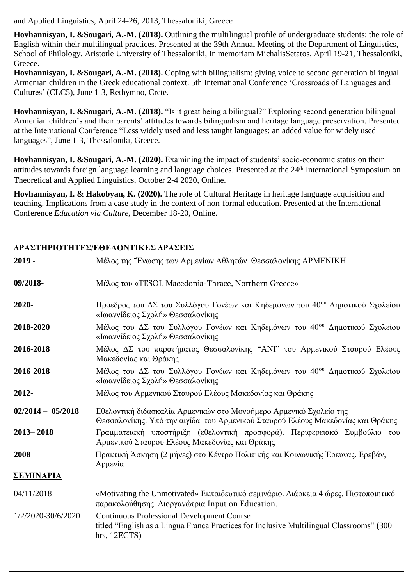and Applied Linguistics, April 24-26, 2013, Thessaloniki, Greece

**Hovhannisyan, I. &Sougari, A.-M. (2018).** Outlining the multilingual profile of undergraduate students: the role of English within their multilingual practices. Presented at the 39th Annual Meeting of the Department of Linguistics, School of Philology, Aristotle University of Thessaloniki, In memoriam MichalisSetatos, April 19-21, Thessaloniki, Greece.

**Hovhannisyan, I. &Sougari, A.-M. (2018).** Coping with bilingualism: giving voice to second generation bilingual Armenian children in the Greek educational context. 5th International Conference 'Crossroads of Languages and Cultures' (CLC5), June 1-3, Rethymno, Crete.

**Hovhannisyan, I. &Sougari, A.-M. (2018).** "Is it great being a bilingual?" Exploring second generation bilingual Armenian children's and their parents' attitudes towards bilingualism and heritage language preservation. Presented at the International Conference "Less widely used and less taught languages: an added value for widely used languages", June 1-3, Thessaloniki, Greece.

**Hovhannisyan, I. &Sougari, A.-M. (2020).** Examining the impact of students' socio-economic status on their attitudes towards foreign language learning and language choices. Presented at the 24th International Symposium on Theoretical and Applied Linguistics, October 2-4 2020, Online.

**Hovhannisyan, I. & Hakobyan, K. (2020).** The role of Cultural Heritage in heritage language acquisition and teaching. Implications from a case study in the context of non-formal education. Presented at the International Conference *Education via Culture,* December 18-20, Online.

#### **ΔΡΑΣΤΗΡΙΟΤΗΤΕΣ/ΕΘΕΛΟΝΤΙΚΕΣ ΔΡΑΣΕΙΣ**

| $2019 -$            | Μέλος της Ένωσης των Αρμενίων Αθλητών Θεσσαλονίκης ΑΡΜΕΝΙΚΗ                                                                                                   |
|---------------------|---------------------------------------------------------------------------------------------------------------------------------------------------------------|
| 09/2018-            | Μέλος του «TESOL Macedonia-Thrace, Northern Greece»                                                                                                           |
| 2020-               | Πρόεδρος του ΔΣ του Συλλόγου Γονέων και Κηδεμόνων του 40 <sup>ου</sup> Δημοτικού Σχολείου<br>«Ιωαννίδειος Σχολή» Θεσσαλονίκης                                 |
| 2018-2020           | Μέλος του ΔΣ του Συλλόγου Γονέων και Κηδεμόνων του 40 <sup>ου</sup> Δημοτικού Σχολείου<br>«Ιωαννίδειος Σχολή» Θεσσαλονίκης                                    |
| 2016-2018           | Μέλος ΔΣ του παρατήματος Θεσσαλονίκης "ANI" του Αρμενικού Σταυρού Ελέους<br>Μακεδονίας και Θράκης                                                             |
| 2016-2018           | Μέλος του ΔΣ του Συλλόγου Γονέων και Κηδεμόνων του 40 <sup>ου</sup> Δημοτικού Σχολείου<br>«Ιωαννίδειος Σχολή» Θεσσαλονίκης                                    |
| 2012-               | Μέλος του Αρμενικού Σταυρού Ελέους Μακεδονίας και Θράκης                                                                                                      |
| $02/2014 - 05/2018$ | Εθελοντική διδασκαλία Αρμενικών στο Μονοήμερο Αρμενικό Σχολείο της<br>Θεσσαλονίκης. Υπό την αιγίδα του Αρμενικού Σταυρού Ελέους Μακεδονίας και Θράκης         |
| $2013 - 2018$       | Γραμματειακή υποστήριξη (εθελοντική προσφορά). Περιφερειακό Συμβούλιο του<br>Αρμενικού Σταυρού Ελέους Μακεδονίας και Θράκης                                   |
| 2008                | Πρακτική Άσκηση (2 μήνες) στο Κέντρο Πολιτικής και Κοινωνικής Έρευνας. Ερεβάν,<br>Αρμενία                                                                     |
| <b>ΣΕΜΙΝΑΡΙΑ</b>    |                                                                                                                                                               |
| 04/11/2018          | «Motivating the Unmotivated» Εκπαιδευτικό σεμινάριο. Διάρκεια 4 ώρες. Πιστοποιητικό<br>παρακολούθησης. Διοργανώτρια Input on Education.                       |
| 1/2/2020-30/6/2020  | <b>Continuous Professional Development Course</b><br>titled "English as a Lingua Franca Practices for Inclusive Multilingual Classrooms" (300<br>hrs, 12ECTS) |